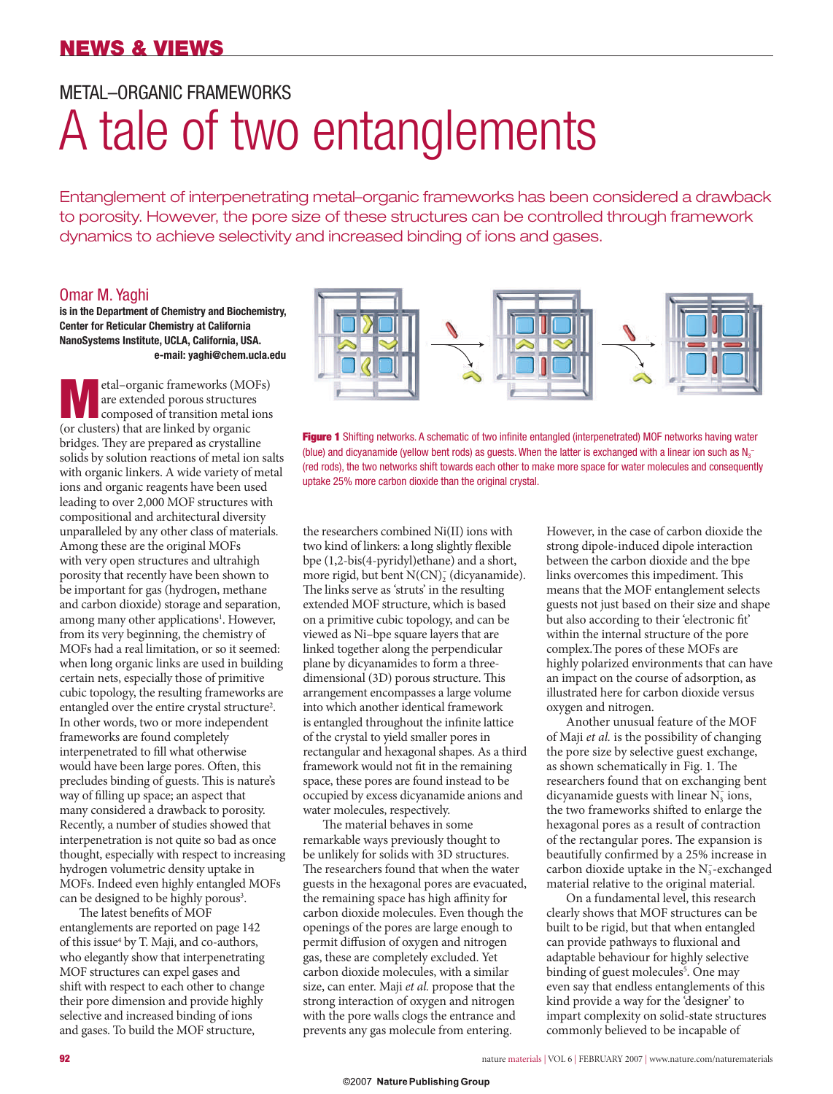### METAL–ORGANIC FRAMEWORKS

# A tale of two entanglements

Entanglement of interpenetrating metal–organic frameworks has been considered a drawback to porosity. However, the pore size of these structures can be controlled through framework dynamics to achieve selectivity and increased binding of ions and gases.

#### Omar M. Yaghi

**is in the Department of Chemistry and Biochemistry, Center for Reticular Chemistry at California NanoSystems Institute, UCLA, California, USA. e-mail: yaghi@chem.ucla.edu**

**M**etal–organic frameworks (MOFs)<br>
are extended porous structures<br>
composed of transition metal ions are extended porous structures (or clusters) that are linked by organic bridges. They are prepared as crystalline solids by solution reactions of metal ion salts with organic linkers. A wide variety of metal ions and organic reagents have been used leading to over 2,000 MOF structures with compositional and architectural diversity unparalleled by any other class of materials. Among these are the original MOFs with very open structures and ultrahigh porosity that recently have been shown to be important for gas (hydrogen, methane and carbon dioxide) storage and separation, among many other applications<sup>1</sup>. However, from its very beginning, the chemistry of MOFs had a real limitation, or so it seemed: when long organic links are used in building certain nets, especially those of primitive cubic topology, the resulting frameworks are entangled over the entire crystal structure<sup>2</sup>. In other words, two or more independent frameworks are found completely interpenetrated to fill what otherwise would have been large pores. Often, this precludes binding of guests. This is nature's way of filling up space; an aspect that many considered a drawback to porosity. Recently, a number of studies showed that interpenetration is not quite so bad as once thought, especially with respect to increasing hydrogen volumetric density uptake in MOFs. Indeed even highly entangled MOFs can be designed to be highly porous<sup>3</sup>.

The latest benefits of MOF entanglements are reported on page 142 of this issue<sup>4</sup> by T. Maji, and co-authors, who elegantly show that interpenetrating MOF structures can expel gases and shift with respect to each other to change their pore dimension and provide highly selective and increased binding of ions and gases. To build the MOF structure,



**Figure 1** Shifting networks. A schematic of two infinite entangled (interpenetrated) MOF networks having water (blue) and dicyanamide (yellow bent rods) as guests. When the latter is exchanged with a linear ion such as  $N_3$ (red rods), the two networks shift towards each other to make more space for water molecules and consequently uptake 25% more carbon dioxide than the original crystal.

the researchers combined Ni(II) ions with two kind of linkers: a long slightly flexible bpe (1,2-bis(4-pyridyl)ethane) and a short, more rigid, but bent N(CN)<sub>2</sub> (dicyanamide). The links serve as 'struts' in the resulting extended MOF structure, which is based on a primitive cubic topology, and can be viewed as Ni–bpe square layers that are linked together along the perpendicular plane by dicyanamides to form a threedimensional (3D) porous structure. This arrangement encompasses a large volume into which another identical framework is entangled throughout the infinite lattice of the crystal to yield smaller pores in rectangular and hexagonal shapes. As a third framework would not fit in the remaining space, these pores are found instead to be occupied by excess dicyanamide anions and water molecules, respectively.

The material behaves in some remarkable ways previously thought to be unlikely for solids with 3D structures. The researchers found that when the water guests in the hexagonal pores are evacuated, the remaining space has high affinity for carbon dioxide molecules. Even though the openings of the pores are large enough to permit diffusion of oxygen and nitrogen gas, these are completely excluded. Yet carbon dioxide molecules, with a similar size, can enter. Maji *et al.* propose that the strong interaction of oxygen and nitrogen with the pore walls clogs the entrance and prevents any gas molecule from entering.

However, in the case of carbon dioxide the strong dipole-induced dipole interaction between the carbon dioxide and the bpe links overcomes this impediment. This means that the MOF entanglement selects guests not just based on their size and shape but also according to their 'electronic fit' within the internal structure of the pore complex. The pores of these MOFs are highly polarized environments that can have an impact on the course of adsorption, as illustrated here for carbon dioxide versus oxygen and nitrogen.

Another unusual feature of the MOF of Maji *et al.* is the possibility of changing the pore size by selective guest exchange, as shown schematically in Fig. 1. The researchers found that on exchanging bent dicyanamide guests with linear  $\rm N_3^-$  ions, the two frameworks shifted to enlarge the hexagonal pores as a result of contraction of the rectangular pores. The expansion is beautifully confirmed by a 25% increase in carbon dioxide uptake in the  $\rm N_3^-$  exchanged material relative to the original material.

On a fundamental level, this research clearly shows that MOF structures can be built to be rigid, but that when entangled can provide pathways to fluxional and adaptable behaviour for highly selective binding of guest molecules<sup>5</sup>. One may even say that endless entanglements of this kind provide a way for the 'designer' to impart complexity on solid-state structures commonly believed to be incapable of